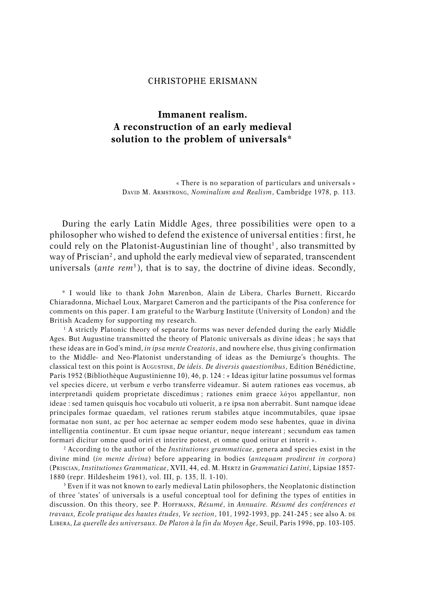## CHRISTOPHE ERISMANN

# **Immanent realism. A reconstruction of an early medieval solution to the problem of universals\***

« There is no separation of particulars and universals » DAVID M. ARMSTRONG, *Nominalism and Realism*, Cambridge 1978, p. 113.

During the early Latin Middle Ages, three possibilities were open to a philosopher who wished to defend the existence of universal entities : first, he could rely on the Platonist-Augustinian line of thought<sup>1</sup>, also transmitted by way of Priscian<sup>2</sup> , and uphold the early medieval view of separated, transcendent universals (*ante rem*<sup>3</sup> ), that is to say, the doctrine of divine ideas. Secondly,

\* I would like to thank John Marenbon, Alain de Libera, Charles Burnett, Riccardo Chiaradonna, Michael Loux, Margaret Cameron and the participants of the Pisa conference for comments on this paper. I am grateful to the Warburg Institute (University of London) and the British Academy for supporting my research.

1 A strictly Platonic theory of separate forms was never defended during the early Middle Ages. But Augustine transmitted the theory of Platonic universals as divine ideas ; he says that these ideas are in God's mind, *in ipsa mente Creatoris*, and nowhere else, thus giving confirmation to the Middle- and Neo-Platonist understanding of ideas as the Demiurge's thoughts. The classical text on this point is AUGUSTINE, *De ideis. De diversis quaestionibus*, Edition Bénédictine, Paris 1952 (Bibliothèque Augustinienne 10), 46, p. 124 : « Ideas igitur latine possumus vel formas vel species dicere, ut verbum e verbo transferre videamur. Si autem rationes eas vocemus, ab interpretandi quidem proprietate discedimus; rationes enim graece  $\lambda$ óyot appellantur, non ideae : sed tamen quisquis hoc vocabulo uti voluerit, a re ipsa non aberrabit. Sunt namque ideae principales formae quaedam, vel rationes rerum stabiles atque incommutabiles, quae ipsae formatae non sunt, ac per hoc aeternae ac semper eodem modo sese habentes, quae in divina intelligentia continentur. Et cum ipsae neque oriantur, neque intereant ; secundum eas tamen formari dicitur omne quod oriri et interire potest, et omne quod oritur et interit ».

2 According to the author of the *Institutiones grammaticae*, genera and species exist in the divine mind (*in mente divina*) before appearing in bodies (*antequam prodirent in corpora*) (PRISCIAN, *Institutiones Grammaticae*, XVII, 44, ed. M. HERTZ in *Grammatici Latini*, Lipsiae 1857- 1880 (repr. Hildesheim 1961), vol. III, p. 135, ll. 1-10).

3 Even if it was not known to early medieval Latin philosophers, the Neoplatonic distinction of three 'states' of universals is a useful conceptual tool for defining the types of entities in discussion. On this theory, see P. HOFFMANN, *Résumé*, in *Annuaire. Résumé des conférences et travaux, Ecole pratique des hautes études, Ve section*, 101, 1992-1993, pp. 241-245 ; see also A. DE LIBERA, *La querelle des universaux. De Platon à la fin du Moyen Âge*, Seuil, Paris 1996, pp. 103-105.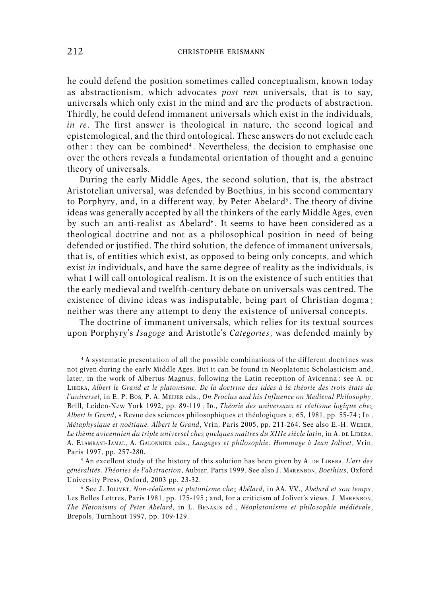he could defend the position sometimes called conceptualism, known today as abstractionism, which advocates *post rem* universals, that is to say, universals which only exist in the mind and are the products of abstraction. Thirdly, he could defend immanent universals which exist in the individuals, *in re*. The first answer is theological in nature, the second logical and epistemological, and the third ontological. These answers do not exclude each other : they can be combined<sup>4</sup> . Nevertheless, the decision to emphasise one over the others reveals a fundamental orientation of thought and a genuine theory of universals.

During the early Middle Ages, the second solution, that is, the abstract Aristotelian universal, was defended by Boethius, in his second commentary to Porphyry, and, in a different way, by Peter Abelard<sup>5</sup>. The theory of divine ideas was generally accepted by all the thinkers of the early Middle Ages, even by such an anti-realist as Abelard<sup>6</sup>. It seems to have been considered as a theological doctrine and not as a philosophical position in need of being defended or justified. The third solution, the defence of immanent universals, that is, of entities which exist, as opposed to being only concepts, and which exist *in* individuals, and have the same degree of reality as the individuals, is what I will call ontological realism. It is on the existence of such entities that the early medieval and twelfth-century debate on universals was centred. The existence of divine ideas was indisputable, being part of Christian dogma ; neither was there any attempt to deny the existence of universal concepts.

The doctrine of immanent universals, which relies for its textual sources upon Porphyry's *Isagoge* and Aristotle's *Categories*, was defended mainly by

4 A systematic presentation of all the possible combinations of the different doctrines was not given during the early Middle Ages. But it can be found in Neoplatonic Scholasticism and, later, in the work of Albertus Magnus, following the Latin reception of Avicenna : see A. DE LIBERA, *Albert le Grand et le platonisme. De la doctrine des idées à la théorie des trois états de l'universel*, in E. P. BOS, P. A. MEIJER eds., *On Proclus and his Influence on Medieval Philosophy*, Brill, Leiden-New York 1992, pp. 89-119 ; ID., *Théorie des universaux et réalisme logique chez Albert le Grand*, « Revue des sciences philosophiques et théologiques », 65, 1981, pp. 55-74 ; ID., *Métaphysique et noétique. Albert le Grand*, Vrin, Paris 2005, pp. 211-264. See also E.-H. WEBER, *Le thème avicennien du triple universel chez quelques maîtres du XIIIe siècle latin*, in A. DE LIBERA, A. ELAMRANI-JAMAL, A. GALONNIER eds., *Langages et philosophie. Hommage à Jean Jolivet*, Vrin, Paris 1997, pp. 257-280.

5 An excellent study of the history of this solution has been given by A. DE LIBERA, *L'art des généralités. Théories de l'abstraction*, Aubier, Paris 1999. See also J. MARENBON, *Boethius*, Oxford University Press, Oxford, 2003 pp. 23-32.

6 See J. JOLIVET, *Non-réalisme et platonisme chez Abélard*, in AA. VV., *Abélard et son temps*, Les Belles Lettres, Paris 1981, pp. 175-195 ; and, for a criticism of Jolivet's views, J. MARENBON, *The Platonisms of Peter Abelard*, in L. BENAKIS ed., *Néoplatonisme et philosophie médiévale*, Brepols, Turnhout 1997, pp. 109-129.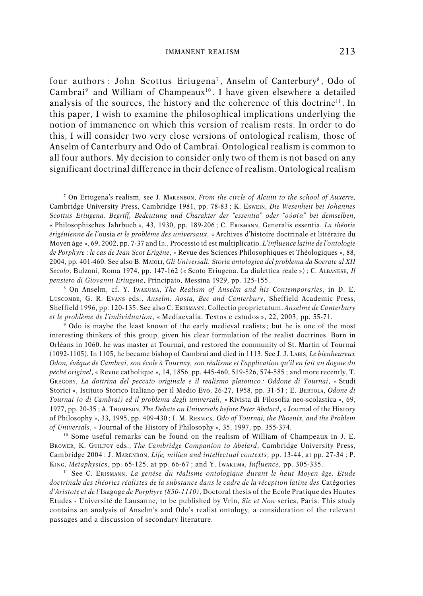four authors: John Scottus Eriugena<sup>7</sup>, Anselm of Canterbury<sup>8</sup>, Odo of Cambrai<sup>9</sup> and William of Champeaux<sup>10</sup> . I have given elsewhere a detailed analysis of the sources, the history and the coherence of this doctrine<sup>11</sup>. In this paper, I wish to examine the philosophical implications underlying the notion of immanence on which this version of realism rests. In order to do this, I will consider two very close versions of ontological realism, those of Anselm of Canterbury and Odo of Cambrai. Ontological realism is common to all four authors. My decision to consider only two of them is not based on any significant doctrinal difference in their defence of realism. Ontological realism

7 On Eriugena's realism, see J. MARENBON, *From the circle of Alcuin to the school of Auxerre*, Cambridge University Press, Cambridge 1981, pp. 78-83 ; K. ESWEIN, *Die Wesenheit bei Johannes Scottus Eriugena. Begriff, Bedeutung und Charakter der "essentia" oder "oujsiva" bei demselben*, « Philosophisches Jahrbuch », 43, 1930, pp. 189-206 ; C. ERISMANN, Generalis essentia. *La théorie érigénienne de l'*ousia *et le problème des universaux*, « Archives d'histoire doctrinale et littéraire du Moyen âge », 69, 2002, pp. 7-37 and ID., Processio id est multiplicatio. *L'influence latine de l'ontologie de Porphyre : le cas de Jean Scot Erigène*, « Revue des Sciences Philosophiques et Théologiques », 88, 2004, pp. 401-460. See also B. MAIOLI, *Gli Universali. Storia antologica del problema da Socrate al XII Secolo*, Bulzoni, Roma 1974, pp. 147-162 (« Scoto Eriugena. La dialettica reale ») ; C. ALBANESE, *Il pensiero di Giovanni Eriugena*, Principato, Messina 1929, pp. 125-155.

8 On Anselm, cf. Y. IWAKUMA, *The Realism of Anselm and his Contemporaries*, in D. E. LUSCOMBE, G. R. EVANS eds., *Anselm. Aosta, Bec and Canterbury*, Sheffield Academic Press, Sheffield 1996, pp. 120-135. See also C. ERISMANN, Collectio proprietatum. *Anselme de Canterbury et le problème de l'individuation*, « Mediaevalia. Textos e estudos », 22, 2003, pp. 55-71.

9 Odo is maybe the least known of the early medieval realists ; but he is one of the most interesting thinkers of this group, given his clear formulation of the realist doctrines. Born in Orléans in 1060, he was master at Tournai, and restored the community of St. Martin of Tournai (1092-1105). In 1105, he became bishop of Cambrai and died in 1113. See J. J. LABIS, *Le bienheureux Odon, évêque de Cambrai, son école à Tournay, son réalisme et l'application qu'il en fait au dogme du péché originel*, « Revue catholique », 14, 1856, pp. 445-460, 519-526, 574-585 ; and more recently, T. GREGORY, *La dottrina del peccato originale e il realismo platonico : Oddone di Tournai*, « Studi Storici », Istituto Storico Italiano per il Medio Evo, 26-27, 1958, pp. 31-51 ; E. BERTOLA, *Odone di Tournai (o di Cambrai) ed il problema degli universali*, « Rivista di Filosofia neo-scolastica », 69, 1977, pp. 20-35 ; A. THOMPSON, *The Debate on Universals before Peter Abelard*, « Journal of the History of Philosophy », 33, 1995, pp. 409-430 ; I. M. RESNICK, *Odo of Tournai, the Phoenix, and the Problem of Universals*, « Journal of the History of Philosophy », 35, 1997, pp. 355-374.

<sup>10</sup> Some useful remarks can be found on the realism of William of Champeaux in J. E. BROWER, K. GUILFOY eds., *The Cambridge Companion to Abelard*, Cambridge University Press, Cambridge 2004 : J. MARENBON, *Life, milieu and intellectual contexts*, pp. 13-44, at pp. 27-34 ; P. KING, *Metaphysics*, pp. 65-125, at pp. 66-67 ; and Y. IWAKUMA, *Influence*, pp. 305-335.

<sup>11</sup> See C. ERISMANN, *La genèse du réalisme ontologique durant le haut Moyen âge. Etude doctrinale des théories réalistes de la substance dans le cadre de la réception latine des* Catégories *d'Aristote et de l'*Isagoge *de Porphyre (850-1110)*, Doctoral thesis of the Ecole Pratique des Hautes Etudes - Université de Lausanne, to be published by Vrin, *Sic et Non* series, Paris. This study contains an analysis of Anselm's and Odo's realist ontology, a consideration of the relevant passages and a discussion of secondary literature.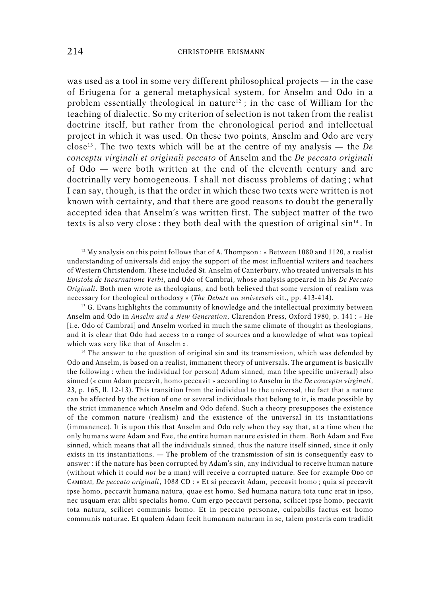was used as a tool in some very different philosophical projects — in the case of Eriugena for a general metaphysical system, for Anselm and Odo in a problem essentially theological in nature<sup>12</sup>; in the case of William for the teaching of dialectic. So my criterion of selection is not taken from the realist doctrine itself, but rather from the chronological period and intellectual project in which it was used. On these two points, Anselm and Odo are very close<sup>13</sup> . The two texts which will be at the centre of my analysis — the *De conceptu virginali et originali peccato* of Anselm and the *De peccato originali* of Odo — were both written at the end of the eleventh century and are doctrinally very homogeneous. I shall not discuss problems of dating ; what I can say, though, is that the order in which these two texts were written is not known with certainty, and that there are good reasons to doubt the generally accepted idea that Anselm's was written first. The subject matter of the two texts is also very close : they both deal with the question of original  $\sin^{14}$ . In

 $12$  My analysis on this point follows that of A. Thompson : « Between 1080 and 1120, a realist understanding of universals did enjoy the support of the most influential writers and teachers of Western Christendom. These included St. Anselm of Canterbury, who treated universals in his *Epistola de Incarnatione Verbi*, and Odo of Cambrai, whose analysis appeared in his *De Peccato Originali*. Both men wrote as theologians, and both believed that some version of realism was necessary for theological orthodoxy » (*The Debate on universals* cit., pp. 413-414).

<sup>13</sup> G. Evans highlights the community of knowledge and the intellectual proximity between Anselm and Odo in *Anselm and a New Generation*, Clarendon Press, Oxford 1980, p. 141 : « He [i.e. Odo of Cambrai] and Anselm worked in much the same climate of thought as theologians, and it is clear that Odo had access to a range of sources and a knowledge of what was topical which was very like that of Anselm ».

 $14$  The answer to the question of original sin and its transmission, which was defended by Odo and Anselm, is based on a realist, immanent theory of universals. The argument is basically the following : when the individual (or person) Adam sinned, man (the specific universal) also sinned (« cum Adam peccavit, homo peccavit » according to Anselm in the *De conceptu virginali*, 23, p. 165, ll. 12-13). This transition from the individual to the universal, the fact that a nature can be affected by the action of one or several individuals that belong to it, is made possible by the strict immanence which Anselm and Odo defend. Such a theory presupposes the existence of the common nature (realism) and the existence of the universal in its instantiations (immanence). It is upon this that Anselm and Odo rely when they say that, at a time when the only humans were Adam and Eve, the entire human nature existed in them. Both Adam and Eve sinned, which means that all the individuals sinned, thus the nature itself sinned, since it only exists in its instantiations. — The problem of the transmission of sin is consequently easy to answer : if the nature has been corrupted by Adam's sin, any individual to receive human nature (without which it could *not* be a man) will receive a corrupted nature. See for example ODO OF CAMBRAI, *De peccato originali*, 1088 CD : « Et si peccavit Adam, peccavit homo ; quia si peccavit ipse homo, peccavit humana natura, quae est homo. Sed humana natura tota tunc erat in ipso, nec usquam erat alibi specialis homo. Cum ergo peccavit persona, scilicet ipse homo, peccavit tota natura, scilicet communis homo. Et in peccato personae, culpabilis factus est homo communis naturae. Et qualem Adam fecit humanam naturam in se, talem posteris eam tradidit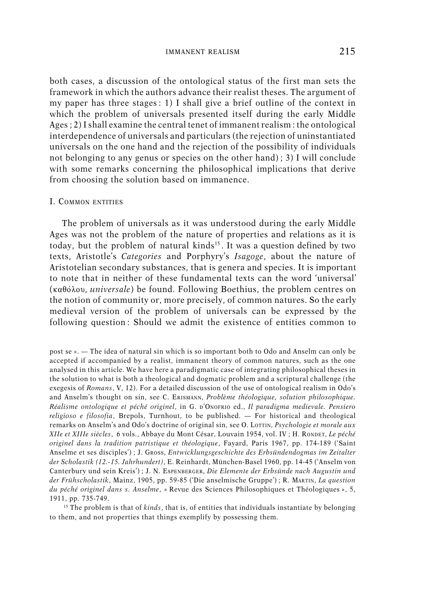both cases, a discussion of the ontological status of the first man sets the framework in which the authors advance their realist theses. The argument of my paper has three stages : 1) I shall give a brief outline of the context in which the problem of universals presented itself during the early Middle Ages ; 2) I shall examine the central tenet of immanent realism : the ontological interdependence of universals and particulars (the rejection of uninstantiated universals on the one hand and the rejection of the possibility of individuals not belonging to any genus or species on the other hand) ; 3) I will conclude with some remarks concerning the philosophical implications that derive from choosing the solution based on immanence.

#### I. COMMON ENTITIES

The problem of universals as it was understood during the early Middle Ages was not the problem of the nature of properties and relations as it is today, but the problem of natural kinds<sup>15</sup>. It was a question defined by two texts, Aristotle's *Categories* and Porphyry's *Isagoge*, about the nature of Aristotelian secondary substances, that is genera and species. It is important to note that in neither of these fundamental texts can the word 'universal' ( $\kappa \alpha \theta$  *i* $\lambda$ ov, *universale*) be found. Following Boethius, the problem centres on the notion of community or, more precisely, of common natures. So the early medieval version of the problem of universals can be expressed by the following question : Should we admit the existence of entities common to

<sup>15</sup> The problem is that of *kinds*, that is, of entities that individuals instantiate by belonging to them, and not properties that things exemplify by possessing them.

post se ». — The idea of natural sin which is so important both to Odo and Anselm can only be accepted if accompanied by a realist, immanent theory of common natures, such as the one analysed in this article. We have here a paradigmatic case of integrating philosophical theses in the solution to what is both a theological and dogmatic problem and a scriptural challenge (the exegesis of *Romans*, V, 12). For a detailed discussion of the use of ontological realism in Odo's and Anselm's thought on sin, see C. ERISMANN, *Problème théologique, solution philosophique. Réalisme ontologique et péché originel*, in G. D'ONOFRIO ed., *Il paradigma medievale. Pensiero religioso e filosofia*, Brepols, Turnhout, to be published. — For historical and theological remarks on Anselm's and Odo's doctrine of original sin, see O. LOTTIN, *Psychologie et morale aux XIIe et XIIIe siècles*,␣ ␣ 6 vols., Abbaye du Mont César, Louvain 1954, vol. IV ; H. RONDET, *Le péché originel dans la tradition patristique et théologique*, Fayard, Paris 1967, pp. 174-189 ('Saint Anselme et ses disciples') ; J. GROSS, *Entwicklungsgeschichte des Erbsündendogmas im Zeitalter der Scholastik (12.-15. Jahrhundert)*, E. Reinhardt, München-Basel 1960, pp. 14-45 ('Anselm von Canterbury und sein Kreis') ; J. N. ESPENBERGER, *Die Elemente der Erbsünde nach Augustin und der Frühscholastik*, Mainz, 1905, pp. 59-85 ('Die anselmische Gruppe') ; R. MARTIN, *La question du péché originel dans s. Anselme*, « Revue des Sciences Philosophiques et Théologiques », 5, 1911, pp. 735-749.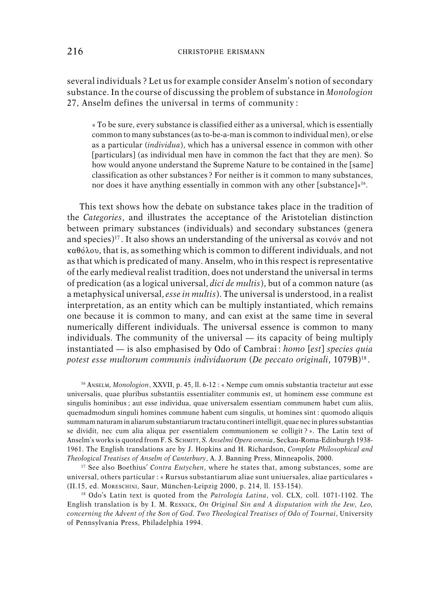several individuals ? Let us for example consider Anselm's notion of secondary substance. In the course of discussing the problem of substance in *Monologion* 27, Anselm defines the universal in terms of community :

« To be sure, every substance is classified either as a universal, which is essentially common to many substances (as to-be-a-man is common to individual men), or else as a particular (*individua*), which has a universal essence in common with other [particulars] (as individual men have in common the fact that they are men). So how would anyone understand the Supreme Nature to be contained in the [same] classification as other substances ? For neither is it common to many substances, nor does it have anything essentially in common with any other [substance]»<sup>16</sup>.

This text shows how the debate on substance takes place in the tradition of the *Categories*, and illustrates the acceptance of the Aristotelian distinction between primary substances (individuals) and secondary substances (genera and species) $17$ . It also shows an understanding of the universal as koivov and not  $\kappa\alpha\theta\delta\lambda\omega$ , that is, as something which is common to different individuals, and not as that which is predicated of many. Anselm, who in this respect is representative of the early medieval realist tradition, does not understand the universal in terms of predication (as a logical universal, *dici de multis*), but of a common nature (as a metaphysical universal, *esse in multis*). The universal is understood, in a realist interpretation, as an entity which can be multiply instantiated, which remains one because it is common to many, and can exist at the same time in several numerically different individuals. The universal essence is common to many individuals. The community of the universal — its capacity of being multiply instantiated — is also emphasised by Odo of Cambrai : *homo* [*est*] *species quia potest esse multorum communis individuorum* (*De peccato originali*, 1079B)<sup>18</sup> .

<sup>16</sup> ANSELM, *Monologion*, XXVII, p. 45, ll. 6-12 : « Nempe cum omnis substantia tractetur aut esse universalis, quae pluribus substantiis essentialiter communis est, ut hominem esse commune est singulis hominibus ; aut esse individua, quae universalem essentiam communem habet cum aliis, quemadmodum singuli homines commune habent cum singulis, ut homines sint : quomodo aliquis summam naturam in aliarum substantiarum tractatu contineri intelligit, quae nec in plures substantias se dividit, nec cum alia aliqua per essentialem communionem se colligit ? ». The Latin text of Anselm's works is quoted from F. S. SCHMITT, *S. Anselmi Opera omnia*, Seckau-Roma-Edinburgh 1938- 1961. The English translations are by J. Hopkins and H. Richardson, *Complete Philosophical and Theological Treatises of Anselm of Canterbury*, A. J. Banning Press, Minneapolis, 2000.

<sup>17</sup> See also Boethius' *Contra Eutychen*, where he states that, among substances, some are universal, others particular : « Rursus substantiarum aliae sunt uniuersales, aliae particulares » (II.15, ed. MORESCHINI, Saur, München-Leipzig 2000, p. 214, ll. 153-154).

<sup>18</sup> Odo's Latin text is quoted from the *Patrologia Latina*, vol. CLX, coll. 1071-1102. The English translation is by I. M. RESNICK, *On Original Sin and A disputation with the Jew, Leo, concerning the Advent of the Son of God. Two Theological Treatises of Odo of Tournai*, University of Pennsylvania Press, Philadelphia 1994.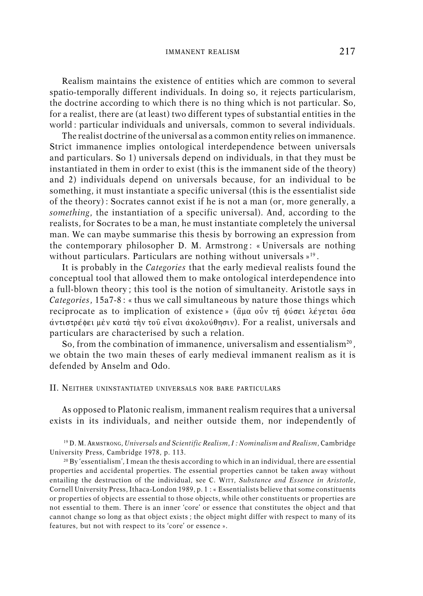Realism maintains the existence of entities which are common to several spatio-temporally different individuals. In doing so, it rejects particularism, the doctrine according to which there is no thing which is not particular. So, for a realist, there are (at least) two different types of substantial entities in the world : particular individuals and universals, common to several individuals.

The realist doctrine of the universal as a common entity relies on immanence. Strict immanence implies ontological interdependence between universals and particulars. So 1) universals depend on individuals, in that they must be instantiated in them in order to exist (this is the immanent side of the theory) and 2) individuals depend on universals because, for an individual to be something, it must instantiate a specific universal (this is the essentialist side of the theory) : Socrates cannot exist if he is not a man (or, more generally, a *something*, the instantiation of a specific universal). And, according to the realists, for Socrates to be a man, he must instantiate completely the universal man. We can maybe summarise this thesis by borrowing an expression from the contemporary philosopher D. M. Armstrong : « Universals are nothing without particulars. Particulars are nothing without universals » 19 .

It is probably in the *Categories* that the early medieval realists found the conceptual tool that allowed them to make ontological interdependence into a full-blown theory ; this tool is the notion of simultaneity. Aristotle says in *Categories*, 15a7-8 : « thus we call simultaneous by nature those things which reciprocate as to implication of existence » ( $\ddot{\alpha}$ ua o $\ddot{\alpha}$   $\dot{\alpha}$   $\ddot{\alpha}$   $\ddot{\alpha}$   $\ddot{\alpha}$  $\dot{\alpha}$ ντιστρέφει μὲν κατὰ τὴν τοῦ εἶναι ἀκολούθησιν). For a realist, universals and particulars are characterised by such a relation.

So, from the combination of immanence, universalism and essentialism<sup>20</sup>, we obtain the two main theses of early medieval immanent realism as it is defended by Anselm and Odo.

#### II. NEITHER UNINSTANTIATED UNIVERSALS NOR BARE PARTICULARS

As opposed to Platonic realism, immanent realism requires that a universal exists in its individuals, and neither outside them, nor independently of

<sup>19</sup> D. M. ARMSTRONG, *Universals and Scientific Realism*, *I : Nominalism and Realism*, Cambridge University Press, Cambridge 1978, p. 113.

<sup>20</sup> By 'essentialism', I mean the thesis according to which in an individual, there are essential properties and accidental properties. The essential properties cannot be taken away without entailing the destruction of the individual, see C. WITT, *Substance and Essence in Aristotle*, Cornell University Press, Ithaca-London 1989, p. 1 : « Essentialists believe that some constituents or properties of objects are essential to those objects, while other constituents or properties are not essential to them. There is an inner 'core' or essence that constitutes the object and that cannot change so long as that object exists ; the object might differ with respect to many of its features, but not with respect to its 'core' or essence ».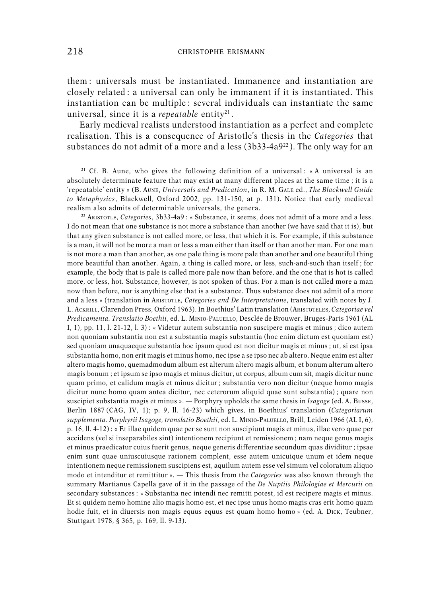them : universals must be instantiated. Immanence and instantiation are closely related : a universal can only be immanent if it is instantiated. This instantiation can be multiple : several individuals can instantiate the same universal, since it is a *repeatable* entity<sup>21</sup>.

Early medieval realists understood instantiation as a perfect and complete realisation. This is a consequence of Aristotle's thesis in the *Categories* that substances do not admit of a more and a less  $(3b33-4a9^{22})$ . The only way for an

<sup>21</sup> Cf. B. Aune, who gives the following definition of a universal : « A universal is an absolutely determinate feature that may exist at many different places at the same time ; it is a 'repeatable' entity » (B. AUNE, *Universals and Predication*, in R. M. GALE ed., *The Blackwell Guide to Metaphysics*, Blackwell, Oxford 2002, pp. 131-150, at p. 131). Notice that early medieval realism also admits of determinable universals, the genera.

<sup>22</sup> ARISTOTLE, *Categories*, 3b33-4a9 : « Substance, it seems, does not admit of a more and a less. I do not mean that one substance is not more a substance than another (we have said that it is), but that any given substance is not called more, or less, that which it is. For example, if this substance is a man, it will not be more a man or less a man either than itself or than another man. For one man is not more a man than another, as one pale thing is more pale than another and one beautiful thing more beautiful than another. Again, a thing is called more, or less, such-and-such than itself ; for example, the body that is pale is called more pale now than before, and the one that is hot is called more, or less, hot. Substance, however, is not spoken of thus. For a man is not called more a man now than before, nor is anything else that is a substance. Thus substance does not admit of a more and a less » (translation in ARISTOTLE, *Categories and De Interpretatione*, translated with notes by J. L. ACKRILL, Clarendon Press, Oxford 1963). In Boethius' Latin translation (ARISTOTELES, *Categoriae vel Predicamenta. Translatio Boethii*, ed. L. MINIO-PALUELLO, Desclée de Brouwer, Bruges-Paris 1961 (AL I, 1), pp. 11, l. 21-12, l. 3) : « Videtur autem substantia non suscipere magis et minus ; dico autem non quoniam substantia non est a substantia magis substantia (hoc enim dictum est quoniam est) sed quoniam unaquaeque substantia hoc ipsum quod est non dicitur magis et minus ; ut, si est ipsa substantia homo, non erit magis et minus homo, nec ipse a se ipso nec ab altero. Neque enim est alter altero magis homo, quemadmodum album est alterum altero magis album, et bonum alterum altero magis bonum ; et ipsum se ipso magis et minus dicitur, ut corpus, album cum sit, magis dicitur nunc quam primo, et calidum magis et minus dicitur ; substantia vero non dicitur (neque homo magis dicitur nunc homo quam antea dicitur, nec ceterorum aliquid quae sunt substantia) ; quare non suscipiet substantia magis et minus ». — Porphyry upholds the same thesis in *Isagoge* (ed. A. BUSSE, Berlin 1887 (CAG, IV, 1); p. 9, ll. 16-23) which gives, in Boethius' translation (*Categoriarum supplementa. Porphyrii Isagoge, translatio Boethii*, ed. L. MINIO-PALUELLO, Brill, Leiden 1966 (AL I, 6), p. 16, ll. 4-12) : « Et illae quidem quae per se sunt non suscipiunt magis et minus, illae vero quae per accidens (vel si inseparabiles sint) intentionem recipiunt et remissionem ; nam neque genus magis et minus praedicatur cuius fuerit genus, neque generis differentiae secundum quas dividitur ; ipsae enim sunt quae uniuscuiusque rationem complent, esse autem unicuique unum et idem neque intentionem neque remissionem suscipiens est, aquilum autem esse vel simum vel coloratum aliquo modo et intenditur et remittitur ». — This thesis from the *Categories* was also known through the summary Martianus Capella gave of it in the passage of the *De Nuptiis Philologiae et Mercurii* on secondary substances : « Substantia nec intendi nec remitti potest, id est recipere magis et minus. Et si quidem nemo homine alio magis homo est, et nec ipse unus homo magis cras erit homo quam hodie fuit, et in diuersis non magis equus equus est quam homo homo » (ed. A. DICK, Teubner, Stuttgart 1978, § 365, p. 169, ll. 9-13).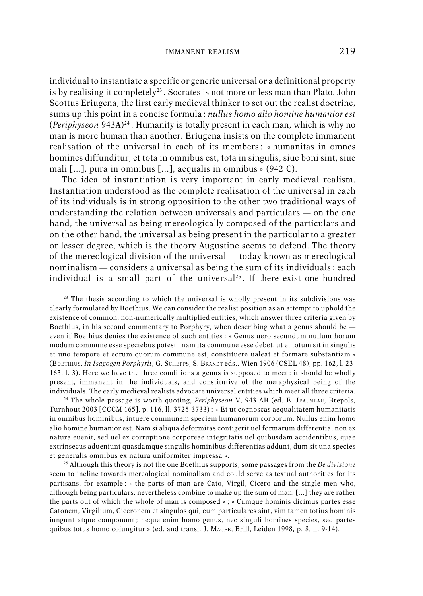individual to instantiate a specific or generic universal or a definitional property is by realising it completely<sup>23</sup>. Socrates is not more or less man than Plato. John Scottus Eriugena, the first early medieval thinker to set out the realist doctrine, sums up this point in a concise formula : *nullus homo alio homine humanior est* (*Periphyseon* 943A)<sup>24</sup>. Humanity is totally present in each man, which is why no man is more human than another. Eriugena insists on the complete immanent realisation of the universal in each of its members : « humanitas in omnes homines diffunditur, et tota in omnibus est, tota in singulis, siue boni sint, siue mali […], pura in omnibus […], aequalis in omnibus » (942 C).

The idea of instantiation is very important in early medieval realism. Instantiation understood as the complete realisation of the universal in each of its individuals is in strong opposition to the other two traditional ways of understanding the relation between universals and particulars — on the one hand, the universal as being mereologically composed of the particulars and on the other hand, the universal as being present in the particular to a greater or lesser degree, which is the theory Augustine seems to defend. The theory of the mereological division of the universal — today known as mereological nominalism — considers a universal as being the sum of its individuals : each individual is a small part of the universal<sup>25</sup>. If there exist one hundred

<sup>23</sup> The thesis according to which the universal is wholly present in its subdivisions was clearly formulated by Boethius. We can consider the realist position as an attempt to uphold the existence of common, non-numerically multiplied entities, which answer three criteria given by Boethius, in his second commentary to Porphyry, when describing what a genus should be  $$ even if Boethius denies the existence of such entities : « Genus uero secundum nullum horum modum commune esse speciebus potest ; nam ita commune esse debet, ut et totum sit in singulis et uno tempore et eorum quorum commune est, constituere ualeat et formare substantiam » (BOETHIUS, *In Isagogen Porphyrii*, G. SCHEPPS, S. BRANDT eds., Wien 1906 (CSEL 48), pp. 162, l. 23- 163, l. 3). Here we have the three conditions a genus is supposed to meet : it should be wholly present, immanent in the individuals, and constitutive of the metaphysical being of the individuals. The early medieval realists advocate universal entities which meet all three criteria.

<sup>24</sup> The whole passage is worth quoting, *Periphyseon* V, 943 AB (ed. E. JEAUNEAU, Brepols, Turnhout 2003 [CCCM 165], p. 116, ll. 3725-3733) : « Et ut cognoscas aequalitatem humanitatis in omnibus hominibus, intuere communem speciem humanorum corporum. Nullus enim homo alio homine humanior est. Nam si aliqua deformitas contigerit uel formarum differentia, non ex natura euenit, sed uel ex corruptione corporeae integritatis uel quibusdam accidentibus, quae extrinsecus adueniunt quasdamque singulis hominibus differentias addunt, dum sit una species et generalis omnibus ex natura uniformiter impressa ».

<sup>25</sup> Although this theory is not the one Boethius supports, some passages from the *De divisione* seem to incline towards mereological nominalism and could serve as textual authorities for its partisans, for example : « the parts of man are Cato, Virgil, Cicero and the single men who, although being particulars, nevertheless combine to make up the sum of man. […] they are rather the parts out of which the whole of man is composed » ; « Cumque hominis dicimus partes esse Catonem, Virgilium, Ciceronem et singulos qui, cum particulares sint, vim tamen totius hominis iungunt atque componunt ; neque enim homo genus, nec singuli homines species, sed partes quibus totus homo coiungitur » (ed. and transl. J. MAGEE, Brill, Leiden 1998, p. 8, ll. 9-14).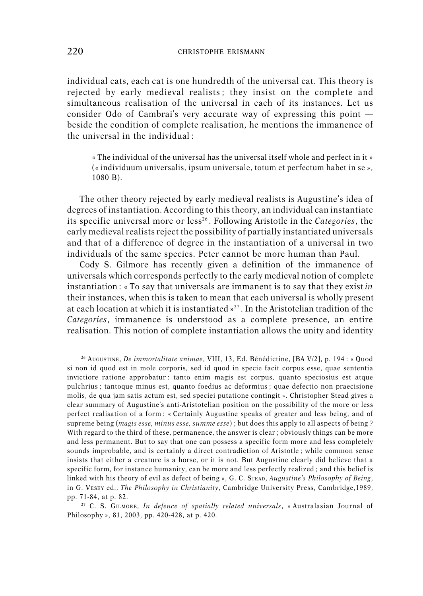individual cats, each cat is one hundredth of the universal cat. This theory is rejected by early medieval realists ; they insist on the complete and simultaneous realisation of the universal in each of its instances. Let us consider Odo of Cambrai's very accurate way of expressing this point beside the condition of complete realisation, he mentions the immanence of the universal in the individual  $\cdot$ 

« The individual of the universal has the universal itself whole and perfect in it » (« individuum universalis, ipsum universale, totum et perfectum habet in se », 1080 B).

The other theory rejected by early medieval realists is Augustine's idea of degrees of instantiation. According to this theory, an individual can instantiate its specific universal more or less<sup>26</sup>. Following Aristotle in the *Categories*, the early medieval realists reject the possibility of partially instantiated universals and that of a difference of degree in the instantiation of a universal in two individuals of the same species. Peter cannot be more human than Paul.

Cody S. Gilmore has recently given a definition of the immanence of universals which corresponds perfectly to the early medieval notion of complete instantiation : « To say that universals are immanent is to say that they exist *in* their instances, when this is taken to mean that each universal is wholly present at each location at which it is instantiated » <sup>27</sup> . In the Aristotelian tradition of the *Categories*, immanence is understood as a complete presence, an entire realisation. This notion of complete instantiation allows the unity and identity

<sup>26</sup> AUGUSTINE, *De immortalitate animae*, VIII, 13, Ed. Bénédictine, [BA V/2], p. 194 : « Quod si non id quod est in mole corporis, sed id quod in specie facit corpus esse, quae sententia invictiore ratione approbatur : tanto enim magis est corpus, quanto speciosius est atque pulchrius ; tantoque minus est, quanto foedius ac deformius ; quae defectio non praecisione molis, de qua jam satis actum est, sed speciei putatione contingit ». Christopher Stead gives a clear summary of Augustine's anti-Aristotelian position on the possibility of the more or less perfect realisation of a form : « Certainly Augustine speaks of greater and less being, and of supreme being (*magis esse, minus esse, summe esse*) ; but does this apply to all aspects of being ? With regard to the third of these, permanence, the answer is clear ; obviously things can be more and less permanent. But to say that one can possess a specific form more and less completely sounds improbable, and is certainly a direct contradiction of Aristotle ; while common sense insists that either a creature is a horse, or it is not. But Augustine clearly did believe that a specific form, for instance humanity, can be more and less perfectly realized ; and this belief is linked with his theory of evil as defect of being », G. C. STEAD, *Augustine's Philosophy of Being*, in G. VESEY ed., *The Philosophy in Christianity*, Cambridge University Press, Cambridge,1989, pp. 71-84, at p. 82.

<sup>27</sup> C. S. GILMORE, *In defence of spatially related universals*, « Australasian Journal of Philosophy », 81, 2003, pp. 420-428, at p. 420.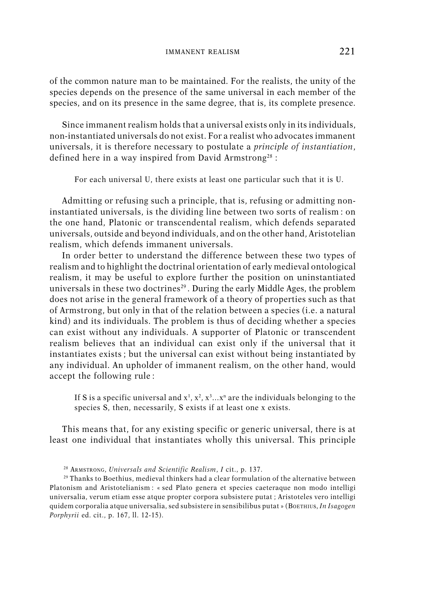of the common nature man to be maintained. For the realists, the unity of the species depends on the presence of the same universal in each member of the species, and on its presence in the same degree, that is, its complete presence.

Since immanent realism holds that a universal exists only in its individuals, non-instantiated universals do not exist. For a realist who advocates immanent universals, it is therefore necessary to postulate a *principle of instantiation*, defined here in a way inspired from David Armstrong<sup>28</sup> :

For each universal U, there exists at least one particular such that it is U.

Admitting or refusing such a principle, that is, refusing or admitting noninstantiated universals, is the dividing line between two sorts of realism : on the one hand, Platonic or transcendental realism, which defends separated universals, outside and beyond individuals, and on the other hand, Aristotelian realism, which defends immanent universals.

In order better to understand the difference between these two types of realism and to highlight the doctrinal orientation of early medieval ontological realism, it may be useful to explore further the position on uninstantiated universals in these two doctrines<sup>29</sup>. During the early Middle Ages, the problem does not arise in the general framework of a theory of properties such as that of Armstrong, but only in that of the relation between a species (i.e. a natural kind) and its individuals. The problem is thus of deciding whether a species can exist without any individuals. A supporter of Platonic or transcendent realism believes that an individual can exist only if the universal that it instantiates exists ; but the universal can exist without being instantiated by any individual. An upholder of immanent realism, on the other hand, would accept the following rule :

If S is a specific universal and  $x^1$ ,  $x^2$ ,  $x^3...x^n$  are the individuals belonging to the species S, then, necessarily, S exists if at least one x exists.

This means that, for any existing specific or generic universal, there is at least one individual that instantiates wholly this universal. This principle

<sup>28</sup> ARMSTRONG, *Universals and Scientific Realism*, *I* cit., p. 137.

<sup>29</sup> Thanks to Boethius, medieval thinkers had a clear formulation of the alternative between Platonism and Aristotelianism : « sed Plato genera et species caeteraque non modo intelligi universalia, verum etiam esse atque propter corpora subsistere putat ; Aristoteles vero intelligi quidem corporalia atque universalia, sed subsistere in sensibilibus putat » (BOETHIUS, *In Isagogen Porphyrii* ed. cit., p. 167, ll. 12-15).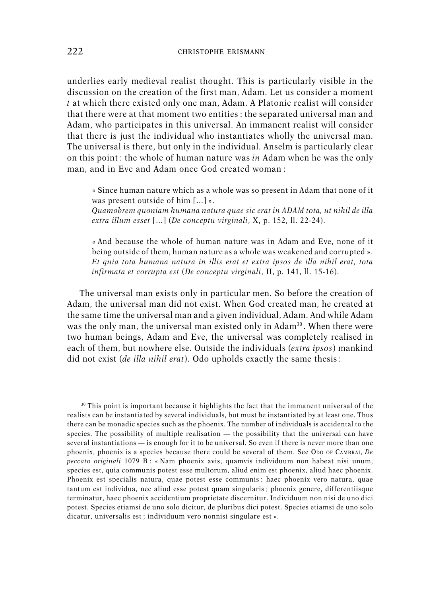underlies early medieval realist thought. This is particularly visible in the discussion on the creation of the first man, Adam. Let us consider a moment *t* at which there existed only one man, Adam. A Platonic realist will consider that there were at that moment two entities : the separated universal man and Adam, who participates in this universal. An immanent realist will consider that there is just the individual who instantiates wholly the universal man. The universal is there, but only in the individual. Anselm is particularly clear on this point : the whole of human nature was *in* Adam when he was the only man, and in Eve and Adam once God created woman :

« Since human nature which as a whole was so present in Adam that none of it was present outside of him […] ».

*Quamobrem quoniam humana natura quae sic erat in ADAM tota, ut nihil de illa extra illum esset* […] (*De conceptu virginali*, X, p. 152, ll. 22-24).

« And because the whole of human nature was in Adam and Eve, none of it being outside of them, human nature as a whole was weakened and corrupted ». *Et quia tota humana natura in illis erat et extra ipsos de illa nihil erat, tota infirmata et corrupta est* (*De conceptu virginali*, II, p. 141, ll. 15-16).

The universal man exists only in particular men. So before the creation of Adam, the universal man did not exist. When God created man, he created at the same time the universal man and a given individual, Adam. And while Adam was the only man, the universal man existed only in  $Adam<sup>30</sup>$ . When there were two human beings, Adam and Eve, the universal was completely realised in each of them, but nowhere else. Outside the individuals (*extra ipsos*) mankind did not exist (*de illa nihil erat*). Odo upholds exactly the same thesis :

<sup>30</sup> This point is important because it highlights the fact that the immanent universal of the realists can be instantiated by several individuals, but must be instantiated by at least one. Thus there can be monadic species such as the phoenix. The number of individuals is accidental to the species. The possibility of multiple realisation  $-$  the possibility that the universal can have several instantiations — is enough for it to be universal. So even if there is never more than one phoenix, phoenix is a species because there could be several of them. See ODO OF CAMBRAI, *De peccato originali* 1079 B : « Nam phoenix avis, quamvis individuum non habeat nisi unum, species est, quia communis potest esse multorum, aliud enim est phoenix, aliud haec phoenix. Phoenix est specialis natura, quae potest esse communis : haec phoenix vero natura, quae tantum est individua, nec aliud esse potest quam singularis ; phoenix genere, differentiisque terminatur, haec phoenix accidentium proprietate discernitur. Individuum non nisi de uno dici potest. Species etiamsi de uno solo dicitur, de pluribus dici potest. Species etiamsi de uno solo dicatur, universalis est ; individuum vero nonnisi singulare est ».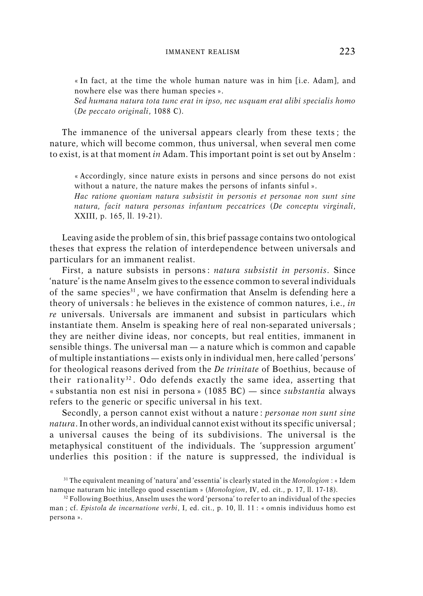« In fact, at the time the whole human nature was in him [i.e. Adam], and nowhere else was there human species ».

*Sed humana natura tota tunc erat in ipso, nec usquam erat alibi specialis homo* (*De peccato originali*, 1088 C).

The immanence of the universal appears clearly from these texts ; the nature, which will become common, thus universal, when several men come to exist, is at that moment *in* Adam. This important point is set out by Anselm :

« Accordingly, since nature exists in persons and since persons do not exist without a nature, the nature makes the persons of infants sinful ».

*Hac ratione quoniam natura subsistit in personis et personae non sunt sine natura, facit natura personas infantum peccatrices* (*De conceptu virginali*, XXIII, p. 165, ll. 19-21).

Leaving aside the problem of sin, this brief passage contains two ontological theses that express the relation of interdependence between universals and particulars for an immanent realist.

First, a nature subsists in persons : *natura subsistit in personis*. Since 'nature' is the name Anselm gives to the essence common to several individuals of the same species<sup>31</sup>, we have confirmation that Anselm is defending here a theory of universals : he believes in the existence of common natures, i.e., *in re* universals. Universals are immanent and subsist in particulars which instantiate them. Anselm is speaking here of real non-separated universals ; they are neither divine ideas, nor concepts, but real entities, immanent in sensible things. The universal man — a nature which is common and capable of multiple instantiations — exists only in individual men, here called 'persons' for theological reasons derived from the *De trinitate* of Boethius, because of their rationality<sup>32</sup>. Odo defends exactly the same idea, asserting that « substantia non est nisi in persona » (1085 BC) — since *substantia* always refers to the generic or specific universal in his text.

Secondly, a person cannot exist without a nature : *personae non sunt sine natura*. In other words, an individual cannot exist without its specific universal ; a universal causes the being of its subdivisions. The universal is the metaphysical constituent of the individuals. The 'suppression argument' underlies this position : if the nature is suppressed, the individual is

<sup>31</sup> The equivalent meaning of 'natura' and 'essentia' is clearly stated in the *Monologion* : « Idem namque naturam hic intellego quod essentiam » (*Monologion*, IV, ed. cit., p. 17, ll. 17-18).

<sup>32</sup> Following Boethius, Anselm uses the word 'persona' to refer to an individual of the species man ; cf. *Epistola de incarnatione verbi*, I, ed. cit., p. 10, ll. 11 : « omnis individuus homo est persona ».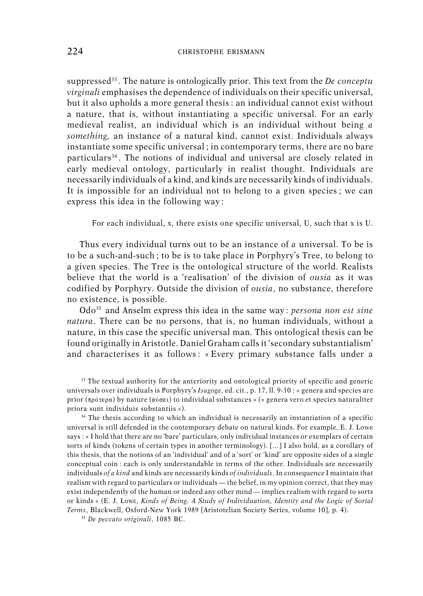suppressed<sup>33</sup> . The nature is ontologically prior. This text from the *De conceptu virginali* emphasises the dependence of individuals on their specific universal, but it also upholds a more general thesis : an individual cannot exist without a nature, that is, without instantiating a specific universal. For an early medieval realist, an individual which is an individual without being *a something,* an instance of a natural kind, cannot exist. Individuals always instantiate some specific universal ; in contemporary terms, there are no bare particulars<sup>34</sup>. The notions of individual and universal are closely related in early medieval ontology, particularly in realist thought. Individuals are necessarily individuals of a kind, and kinds are necessarily kinds of individuals. It is impossible for an individual not to belong to a given species ; we can express this idea in the following way :

For each individual, x, there exists one specific universal, U, such that x is U.

Thus every individual turns out to be an instance of *a* universal. To be is to be a such-and-such ; to be is to take place in Porphyry's Tree, to belong to a given species. The Tree is the ontological structure of the world. Realists believe that the world is a 'realisation' of the division of *ousia* as it was codified by Porphyry. Outside the division of *ousia*, no substance, therefore no existence, is possible.

Odo<sup>35</sup> and Anselm express this idea in the same way : *persona non est sine natura*. There can be no persons, that is, no human individuals, without a nature, in this case the specific universal man. This ontological thesis can be found originally in Aristotle. Daniel Graham calls it 'secondary substantialism' and characterises it as follows : « Every primary substance falls under a

<sup>33</sup> The textual authority for the anteriority and ontological priority of specific and generic universals over individuals is Porphyry's *Isagoge*, ed. cit., p. 17, ll. 9-10 : « genera and species are prior ( $\pi \rho \sigma \tau$ epa) by nature ( $\phi \sigma \sigma \tau$ ) to individual substances » (« genera vero et species naturaliter priora sunt individuis substantiis »).

<sup>34</sup> The thesis according to which an individual is necessarily an instantiation of a specific universal is still defended in the contemporary debate on natural kinds. For example, E. J. Lowe says : « I hold that there are no 'bare' particulars, only individual instances or exemplars of certain sorts of kinds (tokens of certain types in another terminology). […] I also hold, as a corollary of this thesis, that the notions of an 'individual' and of a 'sort' or 'kind' are opposite sides of a single conceptual coin : each is only understandable in terms of the other. Individuals are necessarily individuals *of a kind* and kinds are necessarily kinds *of individuals*. In consequence I maintain that realism with regard to particulars or individuals — the belief, in my opinion correct, that they may exist independently of the human or indeed any other mind — implies realism with regard to sorts or kinds » (E. J. LOWE, *Kinds of Being. A Study of Individuation, Identity and the Logic of Sortal Terms*, Blackwell, Oxford-New York 1989 [Aristotelian Society Series, volume 10], p. 4).

<sup>35</sup> *De peccato originali*, 1085 BC.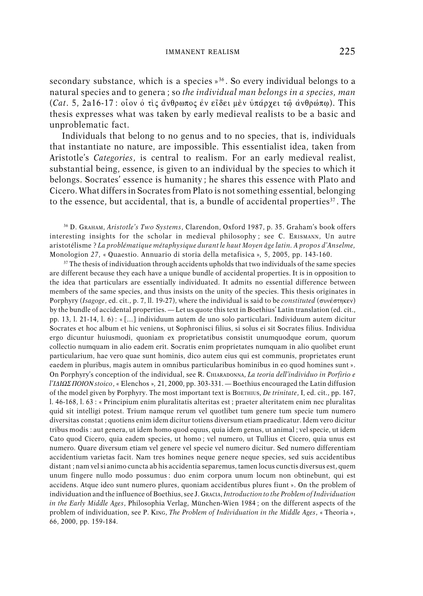secondary substance, which is a species »<sup>36</sup>. So every individual belongs to a natural species and to genera ; so *the individual man belongs in a species, man* (*Cat*. 5, 2a16-17 : οἶον ὁ τὶς ἄνθρωπος ἐν εἴδει μὲν ὑπάρχει τῷ ἀνθρώπφ). This thesis expresses what was taken by early medieval realists to be a basic and unproblematic fact.

Individuals that belong to no genus and to no species, that is, individuals that instantiate no nature, are impossible. This essentialist idea, taken from Aristotle's *Categories*, is central to realism. For an early medieval realist, substantial being, essence, is given to an individual by the species to which it belongs. Socrates' essence is humanity ; he shares this essence with Plato and Cicero. What differs in Socrates from Plato is not something essential, belonging to the essence, but accidental, that is, a bundle of accidental properties<sup>37</sup>. The

<sup>36</sup> D. GRAHAM, *Aristotle's Two Systems*, Clarendon, Oxford 1987, p. 35. Graham's book offers interesting insights for the scholar in medieval philosophy; see C. ERISMANN, Un autre aristotélisme ? *La problématique métaphysique durant le haut Moyen âge latin. A propos d'Anselme,* Monologion *27*, « Quaestio. Annuario di storia della metafisica »*,* 5, 2005, pp. 143-160.

 $37$  The thesis of individuation through accidents upholds that two individuals of the same species are different because they each have a unique bundle of accidental properties. It is in opposition to the idea that particulars are essentially individuated. It admits no essential difference between members of the same species, and thus insists on the unity of the species. This thesis originates in Porphyry (*Isagoge*, ed. cit., p. 7, ll. 19-27), where the individual is said to be *constituted* (συνέστηκεν) by the bundle of accidental properties. — Let us quote this text in Boethius' Latin translation (ed. cit., pp. 13, l. 21-14, l. 6) : « […] individuum autem de uno solo particulari. Individuum autem dicitur Socrates et hoc album et hic veniens, ut Sophronisci filius, si solus ei sit Socrates filius. Individua ergo dicuntur huiusmodi, quoniam ex proprietatibus consistit unumquodque eorum, quorum collectio numquam in alio eadem erit. Socratis enim proprietates numquam in alio quolibet erunt particularium, hae vero quae sunt hominis, dico autem eius qui est communis, proprietates erunt eaedem in pluribus, magis autem in omnibus particularibus hominibus in eo quod homines sunt ». On Porphyry's conception of the individual, see R. CHIARADONNA, *La teoria dell'individuo in Porfirio e*  $l'IAIQ\Sigma$  *HOION* stoico, « Elenchos », 21, 2000, pp. 303-331. — Boethius encouraged the Latin diffusion of the model given by Porphyry. The most important text is BOETHIUS, *De trinitate*, I, ed. cit., pp. 167, l. 46-168, l. 63 : « Principium enim pluralitatis alteritas est ; praeter alteritatem enim nec pluralitas quid sit intelligi potest. Trium namque rerum vel quotlibet tum genere tum specie tum numero diversitas constat ; quotiens enim idem dicitur totiens diversum etiam praedicatur. Idem vero dicitur tribus modis : aut genera, ut idem homo quod equus, quia idem genus, ut animal ; vel specie, ut idem Cato quod Cicero, quia eadem species, ut homo ; vel numero, ut Tullius et Cicero, quia unus est numero. Quare diversum etiam vel genere vel specie vel numero dicitur. Sed numero differentiam accidentium varietas facit. Nam tres homines neque genere neque species, sed suis accidentibus distant ; nam vel si animo cuncta ab his accidentia separemus, tamen locus cunctis diversus est, quem unum fingere nullo modo possumus : duo enim corpora unum locum non obtinebunt, qui est accidens. Atque ideo sunt numero plures, quoniam accidentibus plures fiunt ». On the problem of individuation and the influence of Boethius, see J. GRACIA, *Introduction to the Problem of Individuation in the Early Middle Ages*, Philosophia Verlag, München-Wien 1984 ; on the different aspects of the problem of individuation, see P. KING, *The Problem of Individuation in the Middle Ages*, « Theoria », 66, 2000, pp. 159-184.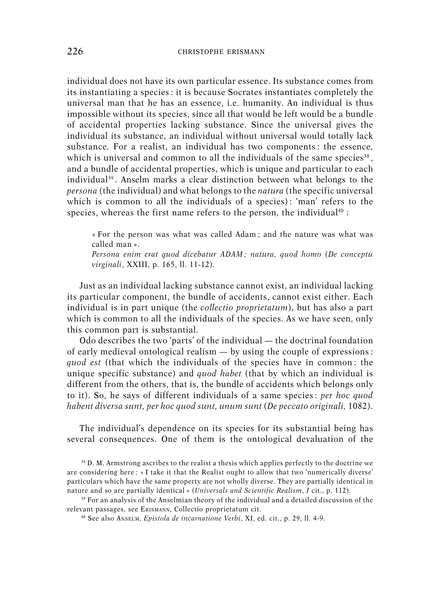individual does not have its own particular essence. Its substance comes from its instantiating a species : it is because Socrates instantiates completely the universal man that he has an essence, i.e. humanity. An individual is thus impossible without its species, since all that would be left would be a bundle of accidental properties lacking substance. Since the universal gives the individual its substance, an individual without universal would totally lack substance. For a realist, an individual has two components : the essence, which is universal and common to all the individuals of the same species $^{\text{38}}$ , and a bundle of accidental properties, which is unique and particular to each individual<sup>39</sup>. Anselm marks a clear distinction between what belongs to the *persona* (the individual) and what belongs to the *natura* (the specific universal which is common to all the individuals of a species) : 'man' refers to the species, whereas the first name refers to the person, the individual<sup>40</sup>:

« For the person was what was called Adam ; and the nature was what was called man ».

*Persona enim erat quod dicebatur ADAM ; natura, quod homo* (*De conceptu virginali*, XXIII, p. 165, ll. 11-12).

Just as an individual lacking substance cannot exist, an individual lacking its particular component, the bundle of accidents, cannot exist either. Each individual is in part unique (the *collectio proprietatum*), but has also a part which is common to all the individuals of the species. As we have seen, only this common part is substantial.

Odo describes the two 'parts' of the individual — the doctrinal foundation of early medieval ontological realism — by using the couple of expressions : *quod est* (that which the individuals of the species have in common : the unique specific substance) and *quod habet* (that by which an individual is different from the others, that is, the bundle of accidents which belongs only to it). So, he says of different individuals of a same species : *per hoc quod habent diversa sunt, per hoc quod sunt, unum sunt* (*De peccato originali,* 1082).

The individual's dependence on its species for its substantial being has several consequences. One of them is the ontological devaluation of the

<sup>38</sup> D. M. Armstrong ascribes to the realist a thesis which applies perfectly to the doctrine we are considering here : « I take it that the Realist ought to allow that two 'numerically diverse' particulars which have the same property are not wholly diverse. They are partially identical in nature and so are partially identical » (*Universals and Scientific Realism*, *I* cit., p. 112).

<sup>39</sup> For an analysis of the Anselmian theory of the individual and a detailed discussion of the relevant passages, see ERISMANN, Collectio proprietatum cit.

<sup>40</sup> See also ANSELM, *Epistola de incarnatione Verbi*, XI, ed. cit., p. 29, ll. 4-9.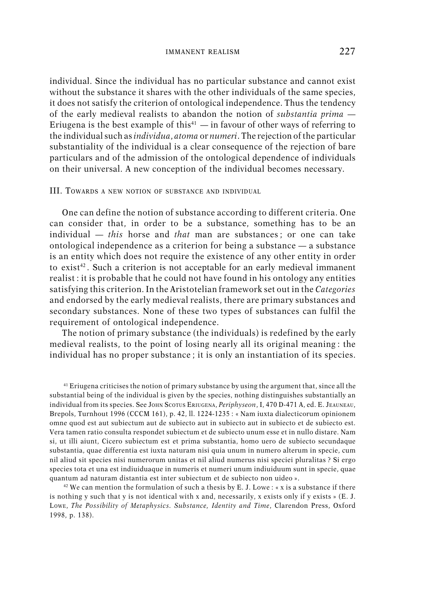individual. Since the individual has no particular substance and cannot exist without the substance it shares with the other individuals of the same species, it does not satisfy the criterion of ontological independence. Thus the tendency of the early medieval realists to abandon the notion of *substantia prima* — Eriugena is the best example of this<sup>41</sup> — in favour of other ways of referring to the individual such as *individua*, *atoma* or *numeri*. The rejection of the particular substantiality of the individual is a clear consequence of the rejection of bare particulars and of the admission of the ontological dependence of individuals on their universal. A new conception of the individual becomes necessary.

#### III. TOWARDS <sup>A</sup> NEW NOTION OF SUBSTANCE AND INDIVIDUAL

One can define the notion of substance according to different criteria. One can consider that, in order to be a substance, something has to be an individual — *this* horse and *that* man are substances ; or one can take ontological independence as a criterion for being a substance — a substance is an entity which does not require the existence of any other entity in order to exist<sup>42</sup>. Such a criterion is not acceptable for an early medieval immanent realist : it is probable that he could not have found in his ontology any entities satisfying this criterion. In the Aristotelian framework set out in the *Categories* and endorsed by the early medieval realists, there are primary substances and secondary substances. None of these two types of substances can fulfil the requirement of ontological independence.

The notion of primary substance (the individuals) is redefined by the early medieval realists, to the point of losing nearly all its original meaning : the individual has no proper substance ; it is only an instantiation of its species.

<sup>41</sup> Eriugena criticises the notion of primary substance by using the argument that, since all the substantial being of the individual is given by the species, nothing distinguishes substantially an individual from its species. See JOHN SCOTUS ERIUGENA, *Periphyseon*, I, 470 D-471 A, ed. E. JEAUNEAU, Brepols, Turnhout 1996 (CCCM 161), p. 42, ll. 1224-1235 : « Nam iuxta dialecticorum opinionem omne quod est aut subiectum aut de subiecto aut in subiecto aut in subiecto et de subiecto est. Vera tamen ratio consulta respondet subiectum et de subiecto unum esse et in nullo distare. Nam si, ut illi aiunt, Cicero subiectum est et prima substantia, homo uero de subiecto secundaque substantia, quae differentia est iuxta naturam nisi quia unum in numero alterum in specie, cum nil aliud sit species nisi numerorum unitas et nil aliud numerus nisi speciei pluralitas ? Si ergo species tota et una est indiuiduaque in numeris et numeri unum indiuiduum sunt in specie, quae quantum ad naturam distantia est inter subiectum et de subiecto non uideo ».

<sup>42</sup> We can mention the formulation of such a thesis by E. J. Lowe : « x is a substance if there is nothing y such that y is not identical with x and, necessarily, x exists only if y exists » (E. J. LOWE, *The Possibility of Metaphysics. Substance, Identity and Time*, Clarendon Press, Oxford 1998, p. 138).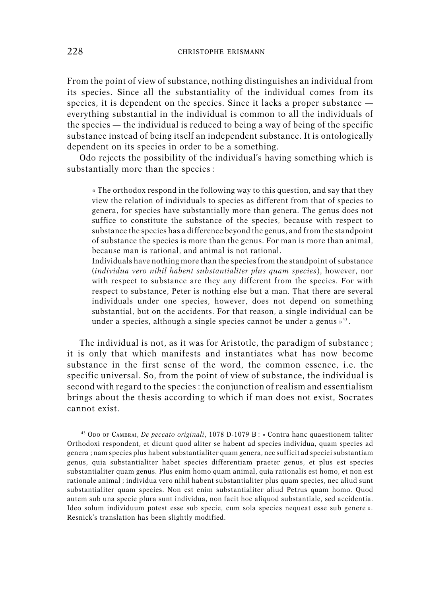From the point of view of substance, nothing distinguishes an individual from its species. Since all the substantiality of the individual comes from its species, it is dependent on the species. Since it lacks a proper substance everything substantial in the individual is common to all the individuals of the species — the individual is reduced to being a way of being of the specific substance instead of being itself an independent substance. It is ontologically dependent on its species in order to be a something.

Odo rejects the possibility of the individual's having something which is substantially more than the species :

« The orthodox respond in the following way to this question, and say that they view the relation of individuals to species as different from that of species to genera, for species have substantially more than genera. The genus does not suffice to constitute the substance of the species, because with respect to substance the species has a difference beyond the genus, and from the standpoint of substance the species is more than the genus. For man is more than animal, because man is rational, and animal is not rational.

Individuals have nothing more than the species from the standpoint of substance (*individua vero nihil habent substantialiter plus quam species*), however, nor with respect to substance are they any different from the species. For with respect to substance, Peter is nothing else but a man. That there are several individuals under one species, however, does not depend on something substantial, but on the accidents. For that reason, a single individual can be under a species, although a single species cannot be under a genus » 43 .

The individual is not, as it was for Aristotle, the paradigm of substance ; it is only that which manifests and instantiates what has now become substance in the first sense of the word, the common essence, i.e. the specific universal. So, from the point of view of substance, the individual is second with regard to the species : the conjunction of realism and essentialism brings about the thesis according to which if man does not exist, Socrates cannot exist.

<sup>43</sup> ODO OF CAMBRAI, *De peccato originali*, 1078 D-1079 B : « Contra hanc quaestionem taliter Orthodoxi respondent, et dicunt quod aliter se habent ad species individua, quam species ad genera ; nam species plus habent substantialiter quam genera, nec sufficit ad speciei substantiam genus, quia substantialiter habet species differentiam praeter genus, et plus est species substantialiter quam genus. Plus enim homo quam animal, quia rationalis est homo, et non est rationale animal ; individua vero nihil habent substantialiter plus quam species, nec aliud sunt substantialiter quam species. Non est enim substantialiter aliud Petrus quam homo. Quod autem sub una specie plura sunt individua, non facit hoc aliquod substantiale, sed accidentia. Ideo solum individuum potest esse sub specie, cum sola species nequeat esse sub genere ». Resnick's translation has been slightly modified.